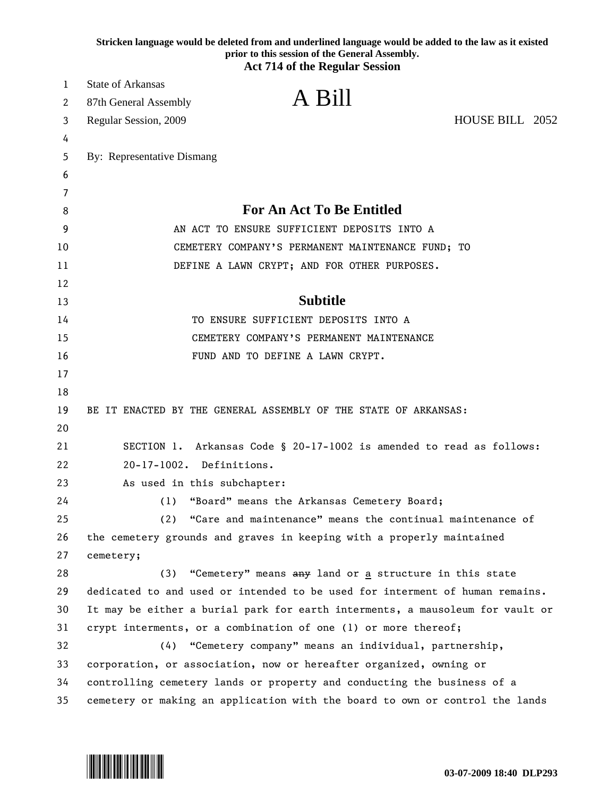|          | Stricken language would be deleted from and underlined language would be added to the law as it existed<br>prior to this session of the General Assembly. |
|----------|-----------------------------------------------------------------------------------------------------------------------------------------------------------|
|          | <b>Act 714 of the Regular Session</b>                                                                                                                     |
| 1        | <b>State of Arkansas</b>                                                                                                                                  |
| 2        | A Bill<br>87th General Assembly                                                                                                                           |
| 3        | HOUSE BILL 2052<br>Regular Session, 2009                                                                                                                  |
| 4        |                                                                                                                                                           |
| 5        | By: Representative Dismang                                                                                                                                |
| 6        |                                                                                                                                                           |
| 7        |                                                                                                                                                           |
| 8        | <b>For An Act To Be Entitled</b>                                                                                                                          |
| 9        | AN ACT TO ENSURE SUFFICIENT DEPOSITS INTO A                                                                                                               |
| 10       | CEMETERY COMPANY'S PERMANENT MAINTENANCE FUND; TO                                                                                                         |
| 11       | DEFINE A LAWN CRYPT; AND FOR OTHER PURPOSES.                                                                                                              |
| 12       | <b>Subtitle</b>                                                                                                                                           |
| 13       |                                                                                                                                                           |
| 14       | TO ENSURE SUFFICIENT DEPOSITS INTO A                                                                                                                      |
| 15       | CEMETERY COMPANY'S PERMANENT MAINTENANCE                                                                                                                  |
| 16       | FUND AND TO DEFINE A LAWN CRYPT.                                                                                                                          |
| 17<br>18 |                                                                                                                                                           |
| 19       | BE IT ENACTED BY THE GENERAL ASSEMBLY OF THE STATE OF ARKANSAS:                                                                                           |
| 20       |                                                                                                                                                           |
| 21       | Arkansas Code § 20-17-1002 is amended to read as follows:<br>SECTION 1.                                                                                   |
| 22       | 20-17-1002. Definitions.                                                                                                                                  |
| 23       | As used in this subchapter:                                                                                                                               |
| 24       | "Board" means the Arkansas Cemetery Board;<br>(1)                                                                                                         |
| 25       | "Care and maintenance" means the continual maintenance of<br>(2)                                                                                          |
| 26       | the cemetery grounds and graves in keeping with a properly maintained                                                                                     |
| 27       | cemetery;                                                                                                                                                 |
| 28       | "Cemetery" means any land or a structure in this state<br>(3)                                                                                             |
| 29       | dedicated to and used or intended to be used for interment of human remains.                                                                              |
| 30       | It may be either a burial park for earth interments, a mausoleum for vault or                                                                             |
| 31       | crypt interments, or a combination of one (1) or more thereof;                                                                                            |
| 32       | "Cemetery company" means an individual, partnership,<br>(4)                                                                                               |
| 33       | corporation, or association, now or hereafter organized, owning or                                                                                        |
| 34       | controlling cemetery lands or property and conducting the business of a                                                                                   |
| 35       | cemetery or making an application with the board to own or control the lands                                                                              |

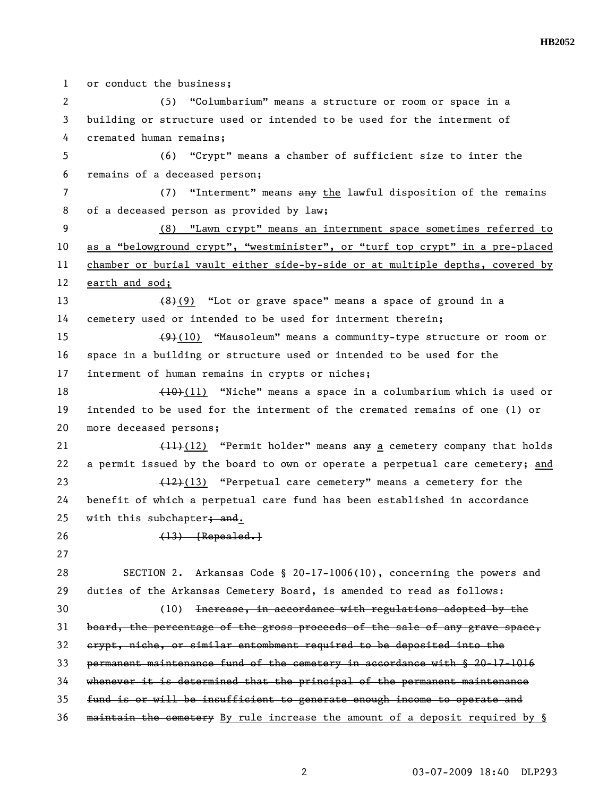1 or conduct the business; 2 (5) "Columbarium" means a structure or room or space in a 3 building or structure used or intended to be used for the interment of 4 cremated human remains; 5 (6) "Crypt" means a chamber of sufficient size to inter the 6 remains of a deceased person; 7 (7) "Interment" means any the lawful disposition of the remains 8 of a deceased person as provided by law; 9 (8) "Lawn crypt" means an internment space sometimes referred to 10 as a "belowground crypt", "westminister", or "turf top crypt" in a pre-placed 11 chamber or burial vault either side-by-side or at multiple depths, covered by 12 earth and sod; 13  $(8)(9)$  "Lot or grave space" means a space of ground in a 14 cemetery used or intended to be used for interment therein; 15 (9)(10) "Mausoleum" means a community-type structure or room or 16 space in a building or structure used or intended to be used for the 17 interment of human remains in crypts or niches; 18 (10)(11) "Niche" means a space in a columbarium which is used or 19 intended to be used for the interment of the cremated remains of one (1) or 20 more deceased persons; 21 (11)(12) "Permit holder" means any a cemetery company that holds 22 a permit issued by the board to own or operate a perpetual care cemetery; and 23 (12)(13) "Perpetual care cemetery" means a cemetery for the 24 benefit of which a perpetual care fund has been established in accordance 25 with this subchapter<sub>j</sub> and. 26 (13) [Repealed.] 27 28 SECTION 2. Arkansas Code § 20-17-1006(10), concerning the powers and 29 duties of the Arkansas Cemetery Board, is amended to read as follows: 30 (10) Increase, in accordance with regulations adopted by the 31 board, the percentage of the gross proceeds of the sale of any grave space, 32 crypt, niche, or similar entombment required to be deposited into the 33 permanent maintenance fund of the cemetery in accordance with § 20-17-1016 34 whenever it is determined that the principal of the permanent maintenance 35 fund is or will be insufficient to generate enough income to operate and 36 maintain the cemetery By rule increase the amount of a deposit required by §